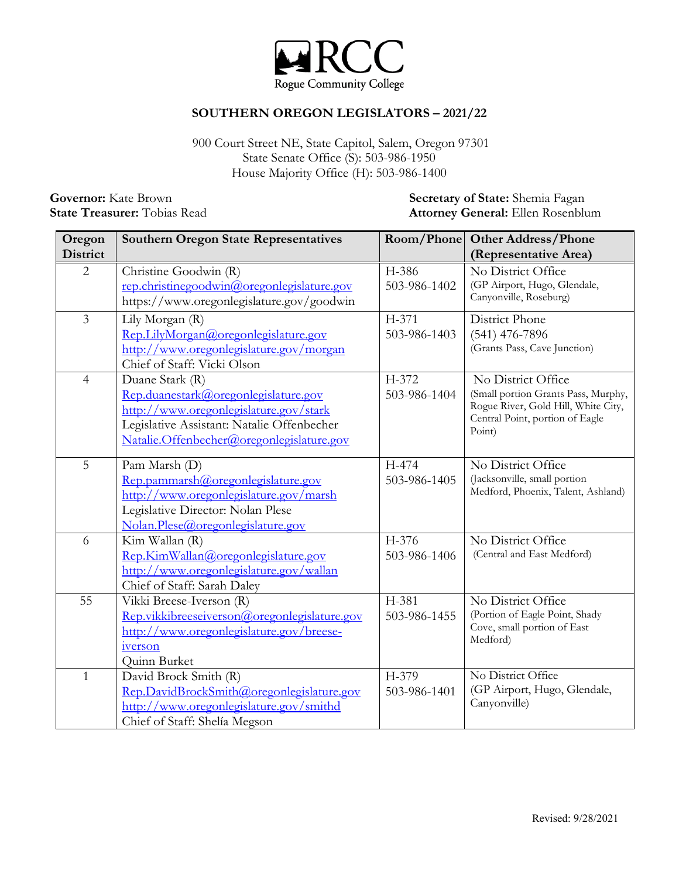

## **SOUTHERN OREGON LEGISLATORS – 2021/22**

 House Majority Office (H): 503-986-1400 900 Court Street NE, State Capitol, Salem, Oregon 97301 State Senate Office (S): 503-986-1950

**Governor:** Kate Brown **Secretary of State:** Shemia Fagan **State:** *State***:** *State: Shemia Fagan* **State** Treasurer: *Tobias Read* **Attorney General:** Ellen Rosenblu **Attorney General:** Ellen Rosenblum

| Oregon<br><b>District</b> | <b>Southern Oregon State Representatives</b>                                                                                                                                                 | Room/Phone            | <b>Other Address/Phone</b><br>(Representative Area)                                                                                           |
|---------------------------|----------------------------------------------------------------------------------------------------------------------------------------------------------------------------------------------|-----------------------|-----------------------------------------------------------------------------------------------------------------------------------------------|
| $\overline{2}$            | Christine Goodwin (R)<br>rep.christinegoodwin@oregonlegislature.gov<br>https://www.oregonlegislature.gov/goodwin                                                                             | H-386<br>503-986-1402 | No District Office<br>(GP Airport, Hugo, Glendale,<br>Canyonville, Roseburg)                                                                  |
| 3                         | Lily Morgan (R)<br>Rep.LilyMorgan@oregonlegislature.gov<br>http://www.oregonlegislature.gov/morgan<br>Chief of Staff: Vicki Olson                                                            | H-371<br>503-986-1403 | District Phone<br>$(541)$ 476-7896<br>(Grants Pass, Cave Junction)                                                                            |
| $\overline{4}$            | Duane Stark (R)<br>Rep.duanestark@oregonlegislature.gov<br>http://www.oregonlegislature.gov/stark<br>Legislative Assistant: Natalie Offenbecher<br>Natalie.Offenbecher@oregonlegislature.gov | H-372<br>503-986-1404 | No District Office<br>(Small portion Grants Pass, Murphy,<br>Rogue River, Gold Hill, White City,<br>Central Point, portion of Eagle<br>Point) |
| 5                         | Pam Marsh (D)<br>Rep.pammarsh@oregonlegislature.gov<br>http://www.oregonlegislature.gov/marsh<br>Legislative Director: Nolan Plese<br>Nolan.Plese@oregonlegislature.gov                      | H-474<br>503-986-1405 | No District Office<br>(Jacksonville, small portion<br>Medford, Phoenix, Talent, Ashland)                                                      |
| 6                         | Kim Wallan (R)<br>Rep.KimWallan@oregonlegislature.gov<br>http://www.oregonlegislature.gov/wallan<br>Chief of Staff: Sarah Daley                                                              | H-376<br>503-986-1406 | No District Office<br>(Central and East Medford)                                                                                              |
| 55                        | Vikki Breese-Iverson (R)<br>Rep.vikkibreeseiverson@oregonlegislature.gov<br>http://www.oregonlegislature.gov/breese-<br>iverson<br>Quinn Burket                                              | H-381<br>503-986-1455 | No District Office<br>(Portion of Eagle Point, Shady<br>Cove, small portion of East<br>Medford)                                               |
| $\mathbf{1}$              | David Brock Smith (R)<br>Rep.DavidBrockSmith@oregonlegislature.gov<br>http://www.oregonlegislature.gov/smithd<br>Chief of Staff: Shelía Megson                                               | H-379<br>503-986-1401 | No District Office<br>(GP Airport, Hugo, Glendale,<br>Canyonville)                                                                            |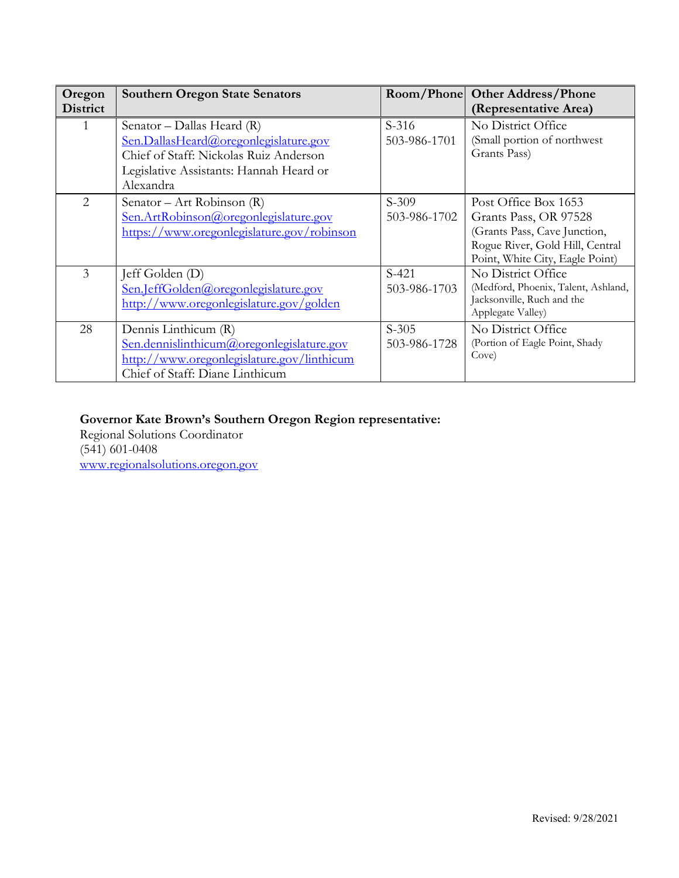| Oregon<br><b>District</b> | <b>Southern Oregon State Senators</b>                                                                                                                                 |                         | Room/Phone Other Address/Phone<br>(Representative Area)                                                                                             |
|---------------------------|-----------------------------------------------------------------------------------------------------------------------------------------------------------------------|-------------------------|-----------------------------------------------------------------------------------------------------------------------------------------------------|
|                           | Senator - Dallas Heard (R)<br>Sen.DallasHeard@oregonlegislature.gov<br>Chief of Staff: Nickolas Ruiz Anderson<br>Legislative Assistants: Hannah Heard or<br>Alexandra | $S-316$<br>503-986-1701 | No District Office<br>(Small portion of northwest<br>Grants Pass)                                                                                   |
| $\mathcal{D}_{\cdot}$     | Senator – Art Robinson $(R)$<br>Sen.ArtRobinson@oregonlegislature.gov<br>https://www.oregonlegislature.gov/robinson                                                   | $S-309$<br>503-986-1702 | Post Office Box 1653<br>Grants Pass, OR 97528<br>(Grants Pass, Cave Junction,<br>Rogue River, Gold Hill, Central<br>Point, White City, Eagle Point) |
| 3                         | Jeff Golden (D)<br>Sen.JeffGolden@oregonlegislature.gov<br>http://www.oregonlegislature.gov/golden                                                                    | $S-421$<br>503-986-1703 | No District Office<br>(Medford, Phoenix, Talent, Ashland,<br>Jacksonville, Ruch and the<br>Applegate Valley)                                        |
| 28                        | Dennis Linthicum (R)<br>Sen.dennislinthicum@oregonlegislature.gov<br>http://www.oregonlegislature.gov/linthicum<br>Chief of Staff: Diane Linthicum                    | $S-305$<br>503-986-1728 | No District Office<br>(Portion of Eagle Point, Shady<br>Cove)                                                                                       |

## **Governor Kate Brown's Southern Oregon Region representative:**

Regional Solutions Coordinator (541) 601-0408 [www.regionalsolutions.oregon.gov](http://www.regionalsolutions.oregon.gov/)